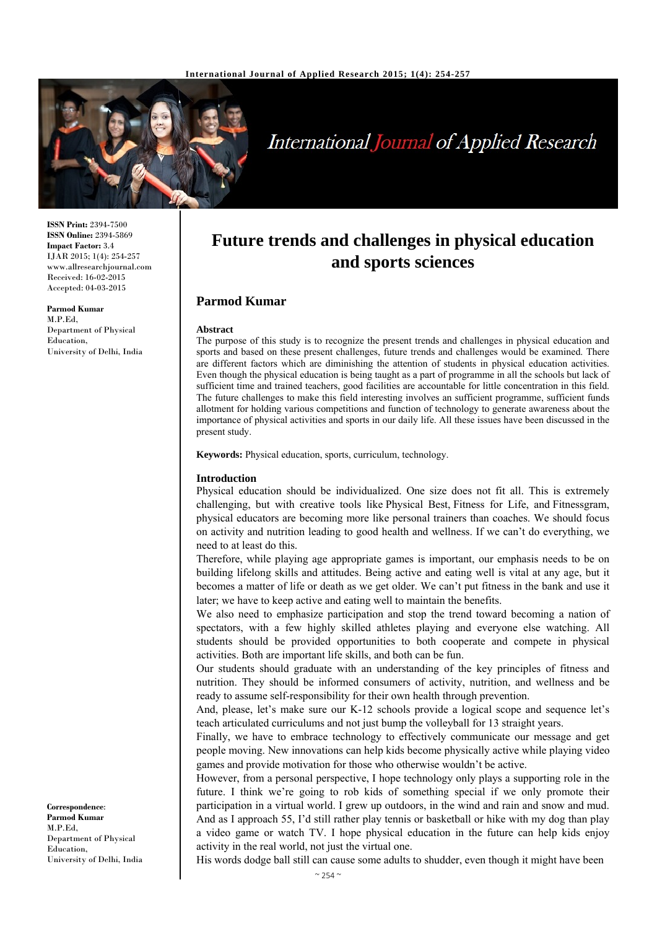

# International Journal of Applied Research

**Future trends and challenges in physical education and sports sciences** 

The purpose of this study is to recognize the present trends and challenges in physical education and sports and based on these present challenges, future trends and challenges would be examined. There are different factors which are diminishing the attention of students in physical education activities. Even though the physical education is being taught as a part of programme in all the schools but lack of sufficient time and trained teachers, good facilities are accountable for little concentration in this field. The future challenges to make this field interesting involves an sufficient programme, sufficient funds allotment for holding various competitions and function of technology to generate awareness about the importance of physical activities and sports in our daily life. All these issues have been discussed in the

**ISSN Print:** 2394-7500 **ISSN Online:** 2394-5869 **Impact Factor:** 3.4 IJAR 2015; 1(4): 254-257 www.allresearchjournal.com Received: 16-02-2015 Accepted: 04-03-2015

**Parmod Kumar**  M.P.Ed, Department of Physical Education, University of Delhi, India

**Keywords:** Physical education, sports, curriculum, technology.

#### **Introduction**

present study.

**Parmod Kumar** 

**Abstract**

Physical education should be individualized. One size does not fit all. This is extremely challenging, but with creative tools like Physical Best, Fitness for Life, and Fitnessgram, physical educators are becoming more like personal trainers than coaches. We should focus on activity and nutrition leading to good health and wellness. If we can't do everything, we need to at least do this.

Therefore, while playing age appropriate games is important, our emphasis needs to be on building lifelong skills and attitudes. Being active and eating well is vital at any age, but it becomes a matter of life or death as we get older. We can't put fitness in the bank and use it later; we have to keep active and eating well to maintain the benefits.

We also need to emphasize participation and stop the trend toward becoming a nation of spectators, with a few highly skilled athletes playing and everyone else watching. All students should be provided opportunities to both cooperate and compete in physical activities. Both are important life skills, and both can be fun.

Our students should graduate with an understanding of the key principles of fitness and nutrition. They should be informed consumers of activity, nutrition, and wellness and be ready to assume self-responsibility for their own health through prevention.

And, please, let's make sure our K-12 schools provide a logical scope and sequence let's teach articulated curriculums and not just bump the volleyball for 13 straight years.

Finally, we have to embrace technology to effectively communicate our message and get people moving. New innovations can help kids become physically active while playing video games and provide motivation for those who otherwise wouldn't be active.

However, from a personal perspective, I hope technology only plays a supporting role in the future. I think we're going to rob kids of something special if we only promote their participation in a virtual world. I grew up outdoors, in the wind and rain and snow and mud. And as I approach 55, I'd still rather play tennis or basketball or hike with my dog than play a video game or watch TV. I hope physical education in the future can help kids enjoy activity in the real world, not just the virtual one.

His words dodge ball still can cause some adults to shudder, even though it might have been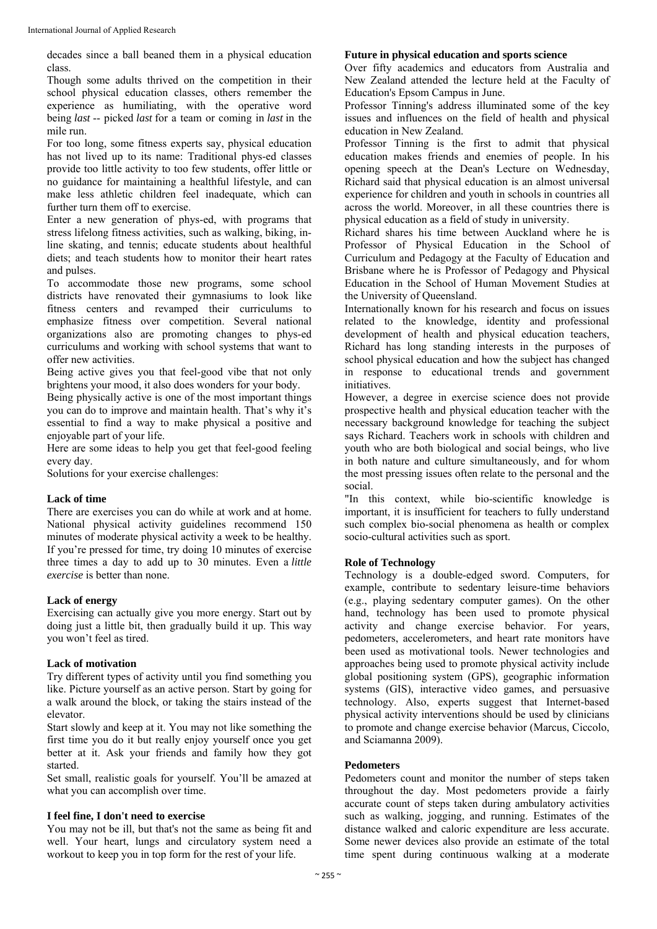decades since a ball beaned them in a physical education class.

Though some adults thrived on the competition in their school physical education classes, others remember the experience as humiliating, with the operative word being *last* -- picked *last* for a team or coming in *last* in the mile run.

For too long, some fitness experts say, physical education has not lived up to its name: Traditional phys-ed classes provide too little activity to too few students, offer little or no guidance for maintaining a healthful lifestyle, and can make less athletic children feel inadequate, which can further turn them off to exercise.

Enter a new generation of phys-ed, with programs that stress lifelong fitness activities, such as walking, biking, inline skating, and tennis; educate students about healthful diets; and teach students how to monitor their heart rates and pulses.

To accommodate those new programs, some school districts have renovated their gymnasiums to look like fitness centers and revamped their curriculums to emphasize fitness over competition. Several national organizations also are promoting changes to phys-ed curriculums and working with school systems that want to offer new activities.

Being active gives you that feel-good vibe that not only brightens your mood, it also does wonders for your body.

Being physically active is one of the most important things you can do to improve and maintain health. That's why it's essential to find a way to make physical a positive and enjoyable part of your life.

Here are some ideas to help you get that feel-good feeling every day.

Solutions for your exercise challenges:

#### **Lack of time**

There are exercises you can do while at work and at home. National physical activity guidelines recommend 150 minutes of moderate physical activity a week to be healthy. If you're pressed for time, try doing 10 minutes of exercise three times a day to add up to 30 minutes. Even a *little exercise* is better than none.

#### **Lack of energy**

Exercising can actually give you more energy. Start out by doing just a little bit, then gradually build it up. This way you won't feel as tired.

#### **Lack of motivation**

Try different types of activity until you find something you like. Picture yourself as an active person. Start by going for a walk around the block, or taking the stairs instead of the elevator.

Start slowly and keep at it. You may not like something the first time you do it but really enjoy yourself once you get better at it. Ask your friends and family how they got started.

Set small, realistic goals for yourself. You'll be amazed at what you can accomplish over time.

#### **I feel fine, I don't need to exercise**

You may not be ill, but that's not the same as being fit and well. Your heart, lungs and circulatory system need a workout to keep you in top form for the rest of your life.

#### **Future in physical education and sports science**

Over fifty academics and educators from Australia and New Zealand attended the lecture held at the Faculty of Education's Epsom Campus in June.

Professor Tinning's address illuminated some of the key issues and influences on the field of health and physical education in New Zealand.

Professor Tinning is the first to admit that physical education makes friends and enemies of people. In his opening speech at the Dean's Lecture on Wednesday, Richard said that physical education is an almost universal experience for children and youth in schools in countries all across the world. Moreover, in all these countries there is physical education as a field of study in university.

Richard shares his time between Auckland where he is Professor of Physical Education in the School of Curriculum and Pedagogy at the Faculty of Education and Brisbane where he is Professor of Pedagogy and Physical Education in the School of Human Movement Studies at the University of Queensland.

Internationally known for his research and focus on issues related to the knowledge, identity and professional development of health and physical education teachers, Richard has long standing interests in the purposes of school physical education and how the subject has changed in response to educational trends and government initiatives.

However, a degree in exercise science does not provide prospective health and physical education teacher with the necessary background knowledge for teaching the subject says Richard. Teachers work in schools with children and youth who are both biological and social beings, who live in both nature and culture simultaneously, and for whom the most pressing issues often relate to the personal and the social.

"In this context, while bio-scientific knowledge is important, it is insufficient for teachers to fully understand such complex bio-social phenomena as health or complex socio-cultural activities such as sport.

# **Role of Technology**

Technology is a double-edged sword. Computers, for example, contribute to sedentary leisure-time behaviors (e.g., playing sedentary computer games). On the other hand, technology has been used to promote physical activity and change exercise behavior. For years, pedometers, accelerometers, and heart rate monitors have been used as motivational tools. Newer technologies and approaches being used to promote physical activity include global positioning system (GPS), geographic information systems (GIS), interactive video games, and persuasive technology. Also, experts suggest that Internet-based physical activity interventions should be used by clinicians to promote and change exercise behavior (Marcus, Ciccolo, and Sciamanna 2009).

#### **Pedometers**

Pedometers count and monitor the number of steps taken throughout the day. Most pedometers provide a fairly accurate count of steps taken during ambulatory activities such as walking, jogging, and running. Estimates of the distance walked and caloric expenditure are less accurate. Some newer devices also provide an estimate of the total time spent during continuous walking at a moderate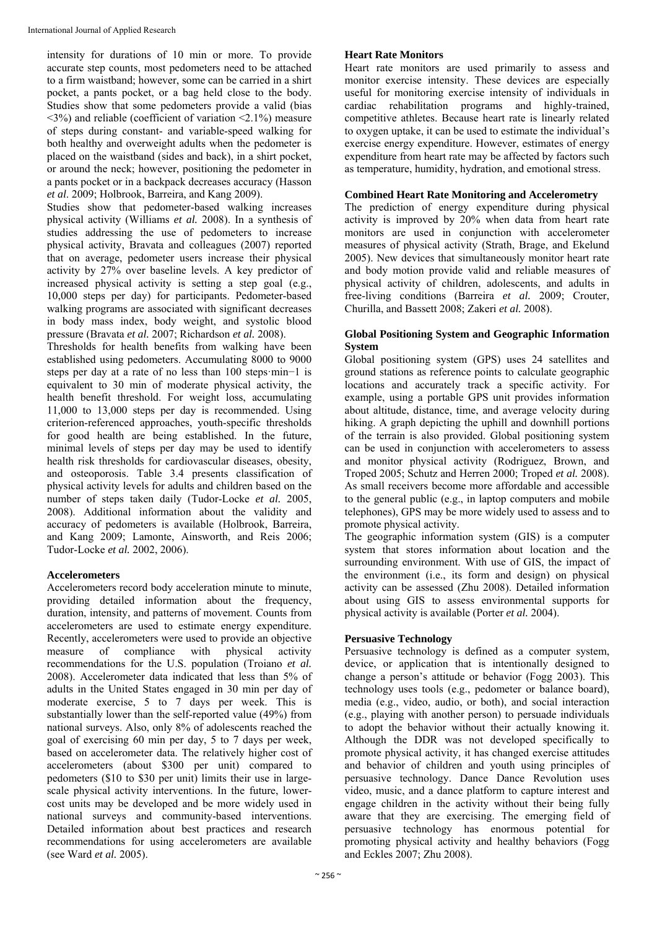intensity for durations of 10 min or more. To provide accurate step counts, most pedometers need to be attached to a firm waistband; however, some can be carried in a shirt pocket, a pants pocket, or a bag held close to the body. Studies show that some pedometers provide a valid (bias  $\langle 3\% \rangle$  and reliable (coefficient of variation  $\langle 2.1\% \rangle$  measure of steps during constant- and variable-speed walking for both healthy and overweight adults when the pedometer is placed on the waistband (sides and back), in a shirt pocket, or around the neck; however, positioning the pedometer in a pants pocket or in a backpack decreases accuracy (Hasson *et al*. 2009; Holbrook, Barreira, and Kang 2009).

Studies show that pedometer-based walking increases physical activity (Williams *et al.* 2008). In a synthesis of studies addressing the use of pedometers to increase physical activity, Bravata and colleagues (2007) reported that on average, pedometer users increase their physical activity by 27% over baseline levels. A key predictor of increased physical activity is setting a step goal (e.g., 10,000 steps per day) for participants. Pedometer-based walking programs are associated with significant decreases in body mass index, body weight, and systolic blood pressure (Bravata *et al.* 2007; Richardson *et al.* 2008).

Thresholds for health benefits from walking have been established using pedometers. Accumulating 8000 to 9000 steps per day at a rate of no less than 100 steps·min−1 is equivalent to 30 min of moderate physical activity, the health benefit threshold. For weight loss, accumulating 11,000 to 13,000 steps per day is recommended. Using criterion-referenced approaches, youth-specific thresholds for good health are being established. In the future, minimal levels of steps per day may be used to identify health risk thresholds for cardiovascular diseases, obesity, and osteoporosis. Table 3.4 presents classification of physical activity levels for adults and children based on the number of steps taken daily (Tudor-Locke *et al.* 2005, 2008). Additional information about the validity and accuracy of pedometers is available (Holbrook, Barreira, and Kang 2009; Lamonte, Ainsworth, and Reis 2006; Tudor-Locke *et al.* 2002, 2006).

# **Accelerometers**

Accelerometers record body acceleration minute to minute, providing detailed information about the frequency, duration, intensity, and patterns of movement. Counts from accelerometers are used to estimate energy expenditure. Recently, accelerometers were used to provide an objective measure of compliance with physical activity measure of compliance with physical activity recommendations for the U.S. population (Troiano *et al.* 2008). Accelerometer data indicated that less than 5% of adults in the United States engaged in 30 min per day of moderate exercise, 5 to 7 days per week. This is substantially lower than the self-reported value (49%) from national surveys. Also, only 8% of adolescents reached the goal of exercising 60 min per day, 5 to 7 days per week, based on accelerometer data. The relatively higher cost of accelerometers (about \$300 per unit) compared to pedometers (\$10 to \$30 per unit) limits their use in largescale physical activity interventions. In the future, lowercost units may be developed and be more widely used in national surveys and community-based interventions. Detailed information about best practices and research recommendations for using accelerometers are available (see Ward *et al.* 2005).

## **Heart Rate Monitors**

Heart rate monitors are used primarily to assess and monitor exercise intensity. These devices are especially useful for monitoring exercise intensity of individuals in cardiac rehabilitation programs and highly-trained, competitive athletes. Because heart rate is linearly related to oxygen uptake, it can be used to estimate the individual's exercise energy expenditure. However, estimates of energy expenditure from heart rate may be affected by factors such as temperature, humidity, hydration, and emotional stress.

#### **Combined Heart Rate Monitoring and Accelerometry**

The prediction of energy expenditure during physical activity is improved by 20% when data from heart rate monitors are used in conjunction with accelerometer measures of physical activity (Strath, Brage, and Ekelund 2005). New devices that simultaneously monitor heart rate and body motion provide valid and reliable measures of physical activity of children, adolescents, and adults in free-living conditions (Barreira *et al.* 2009; Crouter, Churilla, and Bassett 2008; Zakeri *et al.* 2008).

#### **Global Positioning System and Geographic Information System**

Global positioning system (GPS) uses 24 satellites and ground stations as reference points to calculate geographic locations and accurately track a specific activity. For example, using a portable GPS unit provides information about altitude, distance, time, and average velocity during hiking. A graph depicting the uphill and downhill portions of the terrain is also provided. Global positioning system can be used in conjunction with accelerometers to assess and monitor physical activity (Rodriguez, Brown, and Troped 2005; Schutz and Herren 2000; Troped *et al.* 2008). As small receivers become more affordable and accessible to the general public (e.g., in laptop computers and mobile telephones), GPS may be more widely used to assess and to promote physical activity.

The geographic information system (GIS) is a computer system that stores information about location and the surrounding environment. With use of GIS, the impact of the environment (i.e., its form and design) on physical activity can be assessed (Zhu 2008). Detailed information about using GIS to assess environmental supports for physical activity is available (Porter *et al.* 2004).

# **Persuasive Technology**

Persuasive technology is defined as a computer system, device, or application that is intentionally designed to change a person's attitude or behavior (Fogg 2003). This technology uses tools (e.g., pedometer or balance board), media (e.g., video, audio, or both), and social interaction (e.g., playing with another person) to persuade individuals to adopt the behavior without their actually knowing it. Although the DDR was not developed specifically to promote physical activity, it has changed exercise attitudes and behavior of children and youth using principles of persuasive technology. Dance Dance Revolution uses video, music, and a dance platform to capture interest and engage children in the activity without their being fully aware that they are exercising. The emerging field of persuasive technology has enormous potential for promoting physical activity and healthy behaviors (Fogg and Eckles 2007; Zhu 2008).